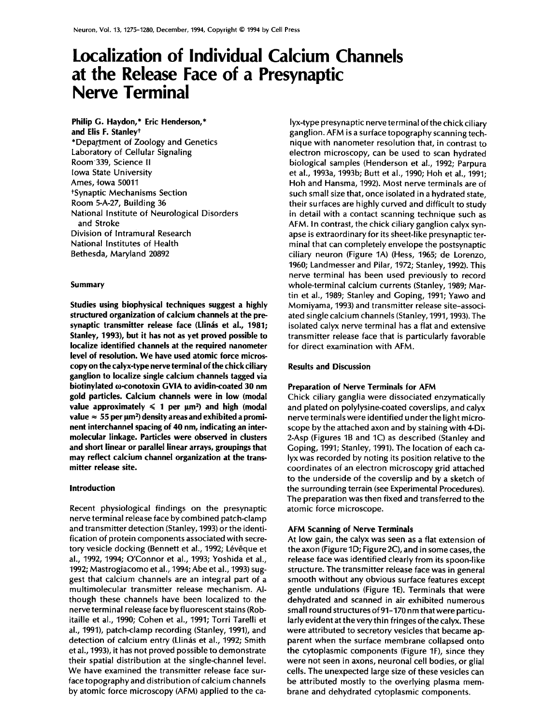# **Localization of Individual Calcium Channels at the Release Face of a Presynaptic Nerve Terminal**

**Philip G. Haydon,\* Eric Henderson,\* and Elis F. Stanley t**  \*Department of Zoology and Genetics Laboratory of Cellular Signaling Room339, Science II Iowa State University Ames, lowa 50011 tSynaptic Mechanisms Section Room 5-A-27, Building 36 National Institute of Neurological Disorders and Stroke Division of Intramural Research National Institutes of Health Bethesda, Maryland 20892

## **Summary**

**Studies using biophysical techniques suggest a highly structured organization of calcium channels at the pre**synaptic transmitter release face (Llinás et al., 1981; **Stanley, 1993), but it has not as yet proved possible to localize identified channels at the required nanometer level of resolution. We have used atomic force microscopy on the calyx-type nerve terminal of the chick ciliary ganglion to localize single calcium channels tagged via biotinylated ω-conotoxin GVIA to avidin-coated 30 nm gold particles. Calcium channels were in low (modal**  value approximately  $\leq 1$  per  $\mu$ m<sup>2</sup>) and high (modal  $value \approx 55$  per  $\mu$ m<sup>2</sup>) density areas and exhibited a promi**nent interchannel spacing of 40 nm, indicating an intermolecular linkage. Particles were observed in clusters and short linear or parallel linear arrays, groupings that may reflect calcium channel organization at the transmitter release site.** 

# **Introduction**

Recent physiological findings on the presynaptic nerve terminal release face by combined patch-clamp and transmitter detection (Stanley, 1993) or the identification of protein components associated with secretory vesicle docking (Bennett et al., 1992; Lévêque et al., 1992, 1994; O'Connor et al., 1993; Yoshida et al., 1992; Mastrogiacomo et al., 1994; Abe et al., 1993) suggest that calcium channels are an integral part of a multimolecular transmitter release mechanism. Although these channels have been localized to the nerve terminal release face by fluorescent stains (Robitaille et al., 1990; Cohen et al., 1991; Torri Tarelli et al., 1991), patch-clamp recording (Stanley, 1991), and detection of calcium entry (Llinás et al., 1992; Smith et al., 1993), it has not proved possible to demonstrate their spatial distribution at the single-channel level. We have examined the transmitter release face surface topography and distribution of calcium channels by atomic force microscopy (AFM) applied to the ca-

lyx-type presynaptic nerve terminal of the chick ciliary ganglion. AFM is a surface topography scanning technique with nanometer resolution that, in contrast to electron microscopy, can be used to scan hydrated biological samples (Henderson et al., 1992; Parpura et al., 1993a, 1993b; Butt et al., 1990; Hoh et al., 1991; Hoh and Hansma, 1992). Most nerve terminals are of such small size that, once isolated in a hydrated state, their surfaces are highly curved and difficult to study in detail with a contact scanning technique such as AFM. In contrast, the chick ciliary ganglion calyx synapse is extraordinary for its sheet-like presynaptic terminal that can completely envelope the postsynaptic ciliary neuron (Figure 1A) (Hess, 1965; de Lorenzo, 1960; Landmesser and Pilar, 1972; Stanley, 1992). This nerve terminal has been used previously to record whole-terminal calcium currents (Stanley, 1989; Martin et al., 1989; Stanley and Goping, 1991; Yawo and Momiyama, 1993) and transmitter release site-associated single calcium channels (Stanley, 1991, 1993). The isolated calyx nerve terminal has a flat and extensive transmitter release face that is particularly favorable for direct examination with AFM.

# **Results and Discussion**

## **Preparation of Nerve Terminals for AFM**

Chick ciliary ganglia were dissociated enzymatically and plated on polylysine-coated coverslips, and calyx nerve terminals were identified under the light microscope by the attached axon and by staining with 4-Di-2-Asp (Figures 1B and 1C) as described (Stanley and Goping, 1991; Stanley, 1991). The location of each calyx was recorded by noting its position relative to the coordinates of an electron microscopy grid attached to the underside of the coverslip and by a sketch of the surrounding terrain (see Experimental Procedures). The preparation was then fixed and transferred to the atomic force microscope.

# **AFM Scanning of Nerve Terminals**

At low gain, the calyx was seen as a flat extension of the axon (Figure 1D; Figure 2C), and in some cases, the release face was identified clearly from its spoon-like structure. The transmitter release face was in general smooth without any obvious surface features except gentle undulations (Figure 1E). Terminals that were dehydrated and scanned in air exhibited numerous small round structures of 91-170 nm that were particularly evident at the verythin fringes of the calyx. These were attributed to secretory vesicles that became apparent when the surface membrane collapsed onto the cytoplasmic components (Figure 1F), since they were not seen in axons, neuronal cell bodies, or glial cells. The unexpected large size of these vesicles can be attributed mostly to the overlying plasma membrane and dehydrated cytoplasmic components.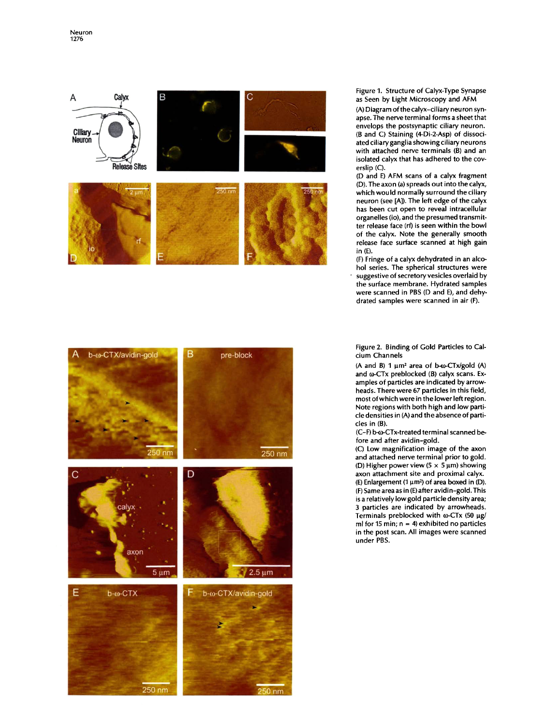

Figure 1. Structure of Calyx-Type Synapse as Seen by Light Microscopy and AFM

(A) Diagram of the calyx-ciliary neuron synapse. The nerve terminal forms a sheet that envelops the postsynaptic ciliary neuron. (B and C) Staining (4-Di-2-Asp) of dissociated ciliary ganglia showing ciliary neurons with attached nerve terminals (B) and an isolated calyx that has adhered to the coverslip (C).

(D and E) AFM scans of a calyx fragment (D). The axon (a) spreads out into the calyx, which would normally surround the ciliary neuron (see [A]). The left edge of the calyx has been cut open to reveal intracellular organelles (io), and the presumed transmitter release face (rf) is seen within the bowl of the calyx. Note the generally smooth release face surface scanned at high gain in (E).

(F) Fringe of a calyx dehydrated in an alcohol series. The spherical structures were suggestive of secretory vesicles overlaid by the surface membrane. Hydrated samples were scanned in PBS (D and E), and dehydrated samples were scanned in air (F).



Figure 2. Binding of Gold Particles to Calcium Channels

(A and B)  $1 \mu m^2$  area of b- $\omega$ -CTx/gold (A) and  $\omega$ -CTx preblocked (B) calyx scans. Examples of particles are indicated by arrowheads. There were 67 particles in this field, most of which were in the lower left region. Note regions with both high and low particle densities in (A) and the absence of particles in (B).

(C-F) b-c0-CTx-treated terminal scanned before and after avidin-gold.

(C) Low magnification image of the axon and attached nerve terminal prior to gold. (D) Higher power view ( $5 \times 5 \mu m$ ) showing axon attachment site and proximal calyx. (E) Enlargement (1  $\mu$ m<sup>2</sup>) of area boxed in (D). (F) Same area as in (E)after avidin-gold. This is a relatively low gold particle density area; 3 particles are indicated by arrowheads. Terminals preblocked with  $\omega$ -CTx (50 µg/ ml for 15 min;  $n = 4$ ) exhibited no particles in the post scan. All images were scanned under PBS.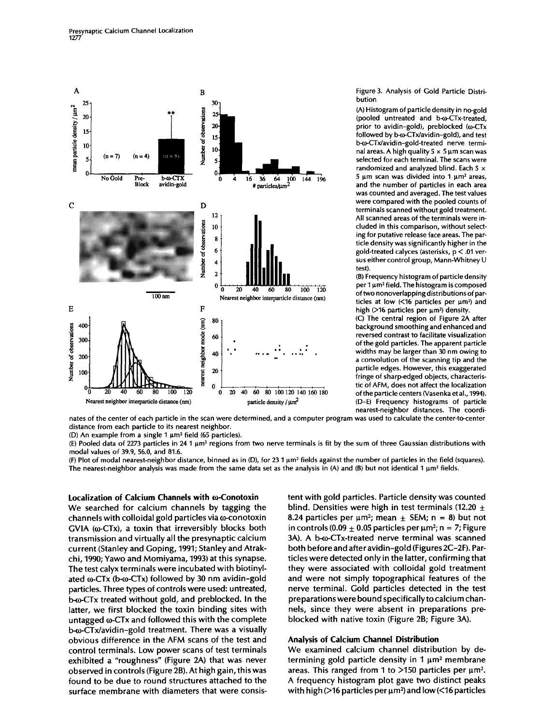

Figure 3. Analysis of Gold Particle Distribution

(A) Histogram of particle density in no-gold (pooled untreated and b- $\omega$ -CTx-treated, prior to avidin-gold), preblocked  $(\omega$ -CTx followed by b- $\omega$ -CTx/avidin-gold), and test b-0~CTx/avidin-gold-treated nerve terminal areas. A high quality  $5 \times 5 \mu m$  scan was selected for each terminal. The scans were randomized and analyzed blind. Each 5  $\times$  $5 \mu m$  scan was divided into 1  $\mu m^2$  areas, and the number of particles in each area was counted and averaged. The test values were compared with the pooled counts of terminals scanned without gold treatment. All scanned areas of the terminals were included in this comparison, without selecting for putative release face areas. The particle density was significantly higher in the gold-treated calyces (asterisks, p < .01 versus either control group, Mann-Whitney U test).

(B) Frequency histogram of particle density per  $1 \mu m^2$  field. The histogram is composed of two nonoverlapping distributions of particles at low  $\left(\frac{16}{16} \right)$  particles per  $\mu$ m<sup>2</sup>) and high ( $>$ 16 particles per  $\mu$ m<sup>2</sup>) density.

(C) The central region of Figure 2A after background smoothing and enhanced and reversed contrast to facilitate visualization of the gold particles. The apparent particle widths may be larger than 30 nm owing to a convolution of the scanning tip and the particle edges. However, this exaggerated fringe of sharp-edged objects, characteristic of AFM, does not affect the localization of the particle centers (Vasenka et al., 1994). (D-E) Frequency histograms of particle nearest-neighbor distances. The coordi-

hates of the center of each particle in the scan were determined, and a computer program was used to calculate the center-to-center distance from each particle to its nearest neighbor.

(D) An example from a single 1  $\mu$ m<sup>2</sup> field (65 particles).

(E) Pooled data of 2273 particles in 24 1  $\mu$ m<sup>2</sup> regions from two nerve terminals is fit by the sum of three Gaussian distributions with modal values of 39.9, 56.0, and 81.6.

(F) Plot of modal nearest-neighbor distance, binned as in (D), for 23 1  $\mu$ m<sup>2</sup> fields against the number of particles in the field (squares). The nearest-neighbor analysis was made from the same data set as the analysis in (A) and (B) but not identical 1  $\mu$ m<sup>2</sup> fields.

# Localization of Calcium Channels with **@-Conotoxin**

We searched for calcium channels by tagging the  $channels with colloidal gold particles via  $ω$ -contoxin$ GVIA ( $\omega$ -CTx), a toxin that irreversibly blocks both transmission and virtually all the presynaptic calcium current (Stanley and Goping, 1991; Stanley and Atrakchi, 1990; Yawo and Momiyama, 1993) at this synapse. The test calyx terminals were incubated with biotinylated  $\omega$ -CTx (b- $\omega$ -CTx) followed by 30 nm avidin-gold particles. Three types of controls were used: untreated, b- $\omega$ -CTx treated without gold, and preblocked. In the latter, we first blocked the toxin binding sites with untagged  $\omega$ -CTx and followed this with the complete b- $\omega$ -CTx/avidin-gold treatment. There was a visually obvious difference in the AFM scans of the test and control terminals. Low power scans of test terminals exhibited a "roughness" (Figure 2A) that was never observed in controls (Figure 2B). At high gain, this was found to be due to round structures attached to the surface membrane with diameters that were consistent with gold particles. Particle density was counted blind. Densities were high in test terminals (12.20  $\pm$ 8.24 particles per  $\mu$ m<sup>2</sup>; mean  $\pm$  SEM; n = 8) but not in controls (0.09  $\pm$  0.05 particles per  $\mu$ m<sup>2</sup>; n = 7; Figure 3A). A b-o-CTx-treated nerve terminal was scanned both before and after avidin-gold (Figures 2C-2F). Particles were detected only in the latter, confirming that they were associated with colloidal gold treatment and were not simply topographical features of the nerve terminal. Gold particles detected in the test preparations were bound specifically to calcium channels, since they were absent in preparations preblocked with native toxin (Figure 2B; Figure 3A).

# Analysis of Calcium Channel Distribution

We examined calcium channel distribution by determining gold particle density in  $1 \mu m^2$  membrane areas. This ranged from 1 to  $>150$  particles per  $\mu$ m<sup>2</sup>. A frequency histogram plot gave two distinct peaks with high ( $>$ 16 particles per  $\mu$ m<sup>2</sup>) and low (<16 particles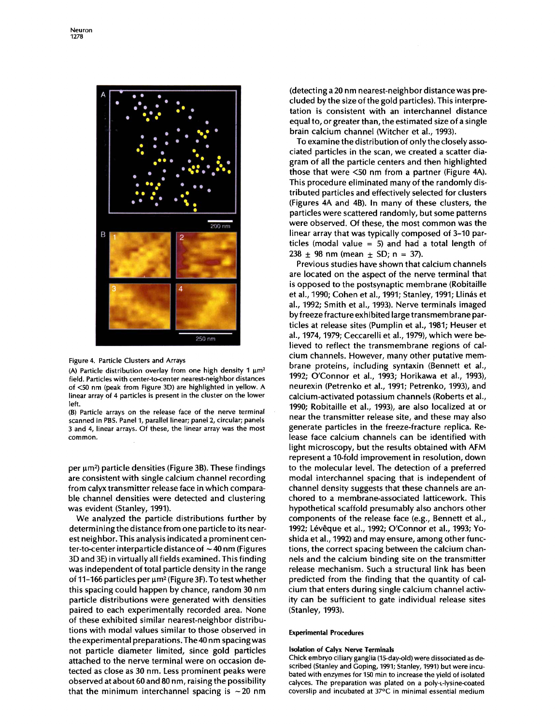

#### Figure 4. Particle Clusters and Arrays

(A) Particle distribution overlay from one high density 1  $\mu$ m<sup>2</sup> field. Particles with center-to-center nearest-neighbor distances of <50 nm (peak from Figure 3D) are highlighted in yellow. A linear array of 4 particles is present in the cluster on the lower left.

(B) Particle arrays on the release face of the nerve terminal scanned in PBS. Panel 1, parallel linear; panel 2, circular; panels 3 and 4, linear arrays. Of these, the linear array was the most common.

per  $\mu$ m<sup>2</sup>) particle densities (Figure 3B). These findings are consistent with single calcium channel recording from calyx transmitter release face in which comparable channel densities were detected and clustering was evident (Stanley, 1991).

We analyzed the particle distributions further by determining the distance from one particle to its nearest neighbor. This analysis indicated a prominent center-to-center interparticle distance of  $\sim$  40 nm (Figures 3D and 3E) in virtually all fields examined. This finding was independent of total particle density in the range of 11-166 particles per  $\mu$ m<sup>2</sup> (Figure 3F). To test whether this spacing could happen by chance, random 30 nm particle distributions were generated with densities paired to each experimentally recorded area. None of these exhibited similar nearest-neighbor distributions with modal values similar to those observed in the experimental preparations. The 40 nm spacingwas not particle diameter limited, since gold particles attached to the nerve terminal were on occasion detected as close as 30 nm. Less prominent peaks were observed at about 60 and 80 nm, raising the possibility that the minimum interchannel spacing is  $\sim$  20 nm

(detecting a 20 nm nearest-neighbor distance was precluded by the size of the gold particles). This interpretation is consistent with an interchannel distance equal to, or greater than, the estimated size of a single brain calcium channel (Witcher et al., 1993).

To examine the distribution of only the closely associated particles in the scan, we created a scatter diagram of all the particle centers and then highlighted those that were <50 nm from a partner (Figure 4A). This procedure eliminated many of the randomly distributed particles and effectively selected for clusters (Figures 4A and 4B). In many of these clusters, the particles were scattered randomly, but some patterns were observed. Of these, the most common was the linear array that was typically composed of 3-10 particles (modal value  $= 5$ ) and had a total length of  $238 \pm 98$  nm (mean  $\pm$  SD; n = 37).

Previous studies have shown that calcium channels are located on the aspect of the nerve terminal that is opposed to the postsynaptic membrane (Robitaille et al., 1990; Cohen et al., 1991; Stanley, 1991; Llinás et al., 1992; Smith et al., 1993). Nerve terminals imaged by freeze fracture exhibited large transmembrane particles at release sites (Pumplin et al., 1981; Heuser et al., 1974, 1979; Ceccarelli et al., 1979), which were believed to reflect the transmembrane regions of calcium channels. However, many other putative membrane proteins, including syntaxin (Bennett et al., 1992; O'Connor et al., 1993; Horikawa et al., 1993), neurexin (Petrenko et al., 1991; Petrenko, 1993), and calcium-activated potassium channels (Roberts et al., 1990; Robitaille et al., 1993), are also localized at or near the transmitter release site, and these may also generate particles in the freeze-fracture replica. Release face calcium channels can be identified with light microscopy, but the results obtained with AFM represent a 10-fold improvement in resolution, down to the molecular level. The detection of a preferred modal interchannel spacing that is independent of channel density suggests that these channels are anchored to a membrane-associated latticework. This hypothetical scaffold presumably also anchors other components of the release face (e.g., Bennett et al., 1992; Lévêque et al., 1992; O'Connor et al., 1993; Yoshida et al., 1992) and may ensure, among other functions, the correct spacing between the calcium channels and the calcium binding site on the transmitter release mechanism. Such a structural link has been predicted from the finding that the quantity of calcium that enters during single calcium channel activity can be sufficient to gate individual release sites (Stanley, 1993).

#### **Experimental Procedures**

#### **Isolation of Calyx Nerve Terminals**

Chick embryo ciliary ganglia (15-day-old) were dissociated as described (Stanley and Goping, 1991; Stanley, 1991) but were incubated with enzymes for 150 min to increase the yield of isolated calyces. The preparation was plated on a poly-L-lysine-coated coverslip and incubated at 37°C in minimal essential medium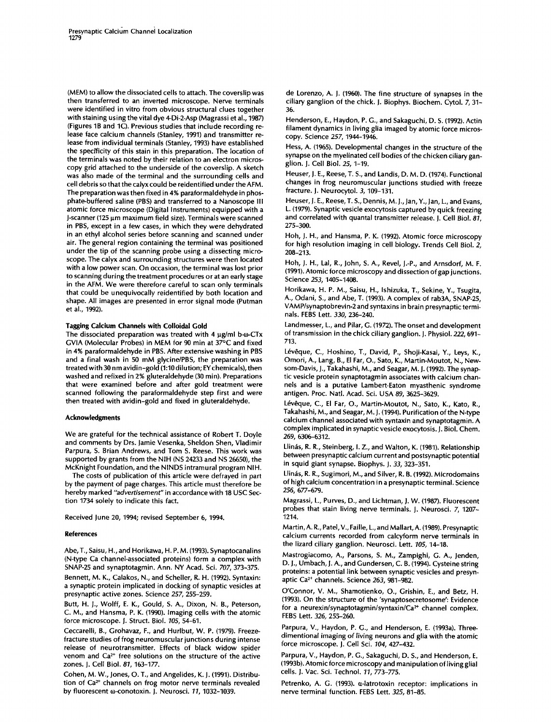(MEM) to allow the dissociated cells to attach. The coverslip was then transferred to an inverted microscope. Nerve terminals were identified in vitro from obvious structural clues together with staining using the vital dye 4-Di-2-Asp (Magrassi et al., 1987) (Figures 1B and 1C). Previous studies that include recording release face calcium channels (Stanley, 1991) and transmitter release from individual terminals (Stanley, 1993) have established the specificity of this stain in this preparation. The location of the terminals was noted by their relation to an electron microscopy grid attached to the underside of the coverslip. A sketch was also made of the terminal and the surrounding cells and cell debris so that the calyx could be reidentified under the AFM. The preparation was then fixed in 4% paraformaldehyde in phosphate-buffered saline (PBS) and transferred to a Nanoscope III atomic force microscope (Digital Instruments) equipped with a J-scanner (125 um maximum field size). Terminals were scanned in PBS, except in a few cases, in which they were dehydrated in an ethyl alcohol series before scanning and scanned under air. The general region containing the terminal was positioned under the tip of the scanning probe using a dissecting microscope. The calyx and surrounding structures were then located with a low power scan. On occasion, the terminal was lost prior to scanning during the treatment procedures or at an early stage in the AFM. We were therefore careful to scan only terminals that could be unequivocally reidentified by both location and shape. All images are presented in error signal mode (Putman et al., 1992).

# **Tagging Calcium Channels with Colloidal Gold**

The dissociated preparation was treated with 4  $\mu$ g/ml b- $\omega$ -CTx GVIA (Molecular Probes) in MEM for 90 min at 37°C and fixed in 4% paraformaldehyde in PBS. After extensive washing in PBS and a final wash in 50 mM glycine/PBS, the preparation was treated with 30 nm avidin-gold (1:10 dilution; EY chemicals), then washed and refixed in 2% gluteraldehyde (30 min). Preparations that were examined before and after gold treatment were scanned following the paraformaldehyde step first and were then treated with avidin-gold and fixed in gluteraldehyde.

#### **Acknowledgments**

We are grateful for the technical assistance of Robert T. Doyle and comments by Drs. Jamie Vesenka, Sheldon Shen, Vladimir Parpura, S. Brian Andrews, and Tom S. Reese. This work was supported by grants from the NIH (NS 24233 and NS 26650), the McKnight Foundation, and the NINDS intramural program NIH.

The costs of publication of this article were defrayed in part by the payment of page charges. This article must therefore be hereby marked *"advertisement"* in accordance with 18 USC Section 1734 solely to indicate this fact.

Received June 20, 1994; revised September 6, 1994.

#### **References**

Abe, T., Saisu, H., and Horikawa, H. P. M. (1993). Synaptocanalins (N-type Ca channel-associated proteins) form a complex with SNAP-25 and synaptotagmin. Ann. NY Acad. Sci. *707,* 373-375. Bennett, M. K., Calakos, N., and Scheller, R. H. (1992). Syntaxin: a synaptic protein implicated in docking of synaptic vesicles at presynaptic active zones. Science *257,* 255-259.

Butt, H. J., Wolff, E. K., Gould, S. A., Dixon, N. B., Peterson, C. M., and Hansma, P. K. (1990). Imaging cells with the atomic force microscope. J. Struct. Biol. *105,* 54-61.

Ceccarelli, B., Grohavaz, F., and Hurlbut, W. P. (1979). Freezefracture studies of frog neuromuscular junctions during intense release of neurotransmitter. Effects of black widow spider venom and  $Ca<sup>2+</sup>$  free solutions on the structure of the active zones. J. Cell Biol. *81,* 163-177.

Cohen, M. W., Jones, O. T., and Angelides, K. J. (1991). Distribution of Ca<sup>2+</sup> channels on frog motor nerve terminals revealed by fluorescent  $\omega$ -conotoxin. J. Neurosci. 11, 1032-1039.

de Lorenzo, A. J. (1960). The fine structure of synapses in the ciliary ganglion of the chick. J. Biophys. Biochem. Cytol. *7,* 31- 36.

Henderson, E., Haydon, P. G., and Sakaguchi, D. S. (1992). Actin filament dynamics in living gila imaged by atomic force microscopy. Science *257,* 1944-1946.

Hess, A. (1965). Developmental changes in the structure of the synapse on the myelinated cell bodies of the chicken ciliary ganglion. J. Cell Biol. *25,* 1-19.

Heuser, J. E., Reese, T. S., and Landis, D. M. D. (1974). Functional changes in frog neuromuscular junctions studied with freeze fracture. J. Neurocytol. 3, 109-131.

Heuser, J. E., Reese, T. S., Dennis, M. J., Jan, Y., Jan, L., and Evans, L. (1979). Synaptic vesicle exocytosis captured by quick freezing and correlated with quantal transmitter release. J. Cell Biol. *81,*  275-300.

Hoh, J. H., and Hansma, P. K. (1992). Atomic force microscopy for high resolution imaging in cell biology. Trends Cell Biol. 2, 208-213.

Hoh, J. H., Lal, R., John, S. A., Revel, J.-P., and Arnsdorf, M. F. (1991). Atomic force microscopy and dissection of gap junctions. Science *253,* 1405-1408.

Horikawa, H. P. M., Saisu, H., Ishizuka, T., Sekine, Y., Tsugita, A., Odani, S., and Abe, T. (1993). A complex of rab3A, SNAP-25, VAMP/synaptobrevin-2 and syntaxins in brain presynaptic terminals. FEBS Lett. *330,* 236-240.

Landmesser, L., and Pilar, G. (1972). The onset and development of transmission in the chick ciliary ganglion. J. Physiol. 222, 691- 713.

Lévêque, C., Hoshino, T., David, P., Shoji-Kasai, Y., Leys, K., Omori, A., Lang, B., El Far, O., Sato, K., Martin-Moutot, N., Newsom-Davis, J., Takahashi, M., and Seagar, M. J. (1992). The synaptic vesicle protein synaptotagmin associates with calcium channels and is a putative Lambert-Eaton myasthenic syndrome antigen. Proc. Natl. Acad. Sci. USA *89,* 3625-3629.

Lévêque, C., El Far, O., Martin-Moutot, N., Sato, K., Kato, R., Takahashi, M., and Seagar, M. J. (1994). Purification of the N-type calcium channel associated with syntaxin and synaptotagmin. A complex implicated in synaptic vesicle exocytosis. J. Biol. Chem. *269,* 6306-6312.

Llinás, R. R., Steinberg, I. Z., and Walton, K. (1981). Relationship between presynaptic calcium current and postsynaptic potential in squid giant synapse. Biophys. J. *33,* 323-351.

Llinás, R. R., Sugimori, M., and Silver, R. B. (1992). Microdomains of high calcium concentration in a presynaptic terminal. Science *256,* 677-679.

Magrassi, L., Purves, D., and Lichtman, J. W. (1987). Fluorescent probes that stain living nerve terminals. J. Neurosci. 7, 1207- 1214.

Martin, A. R., Patel, V., Faille, L., and Mallart, A. (1989). Presynaptic calcium currents recorded from calcyform nerve terminals in the lizard ciliary ganglion. Neurosci. Lett. *105,* 14-18.

Mastrogiacomo, A., Parsons, S. M., Zampighi, G. A., Jenden, D. J., Umbach, J. A., and Gundersen, C. B. (1994). Cysteine string proteins: a potential link between synaptic vesicles and presynaptic Ca 2+ channels. Science *263,* 981-982.

O'Connor, V. M., Shamotienko, O., Grishin, E., and Betz, H. (1993). On the structure of the 'synaptosecretosome': Evidence for a *neurexinlsynaptotagminlsyntaxinlCa ~+* channel complex. FEBS Lett. *326,* 255-260.

Parpura, V., Haydon, P. G., and Henderson, E. (1993a). Threedimentional imaging of living neurons and gila with the atomic force microscope. J. Cell Sci. *104,* 427-432.

Parpura, V., Haydon, P. G., Sakaguchi, D. S., and Henderson, E. (1993b). Atomic force microscopy and manipulation of living glial cells. J. Vac. Sci. Technol. *11,* 773-775.

Petrenko, A. G. (1993). a-latrotoxin receptor: implications in nerve terminal function. FEBS Lett. *325,* 81-85.